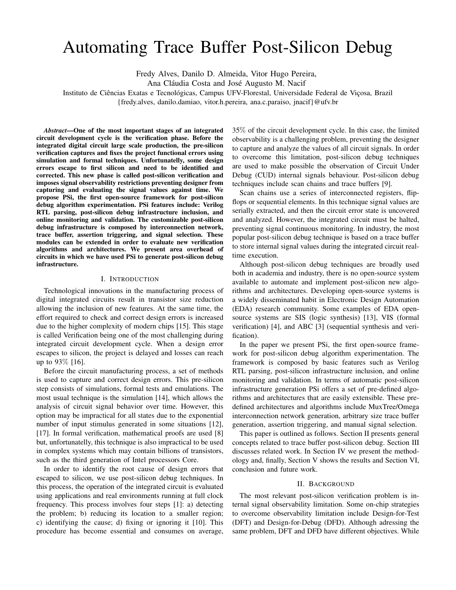# Automating Trace Buffer Post-Silicon Debug

Fredy Alves, Danilo D. Almeida, Vitor Hugo Pereira,

Ana Cláudia Costa and José Augusto M. Nacif

Instituto de Ciências Exatas e Tecnológicas, Campus UFV-Florestal, Universidade Federal de Viçosa, Brazil

{fredy.alves, danilo.damiao, vitor.h.pereira, ana.c.paraiso, jnacif}@ufv.br

*Abstract*—One of the most important stages of an integrated circuit development cycle is the verification phase. Before the integrated digital circuit large scale production, the pre-silicon verification captures and fixes the project functional errors using simulation and formal techniques. Unfortunatelly, some design errors escape to first silicon and need to be identified and corrected. This new phase is called post-silicon verification and imposes signal observability restrictions preventing designer from capturing and evaluating the signal values against time. We propose PSi, the first open-source framework for post-silicon debug algorithm experimentation. PSi features include: Verilog RTL parsing, post-silicon debug infrastructure inclusion, and online monitoring and validation. The customizable post-silicon debug infrastructure is composed by interconnection network, trace buffer, assertion triggering, and signal selection. These modules can be extended in order to evaluate new verification algorithms and architectures. We present area overhead of circuits in which we have used PSi to generate post-silicon debug infrastructure.

## I. INTRODUCTION

Technological innovations in the manufacturing process of digital integrated circuits result in transistor size reduction allowing the inclusion of new features. At the same time, the effort required to check and correct design errors is increased due to the higher complexity of modern chips [15]. This stage is called Verification being one of the most challenging during integrated circuit development cycle. When a design error escapes to silicon, the project is delayed and losses can reach up to 93% [16].

Before the circuit manufacturing process, a set of methods is used to capture and correct design errors. This pre-silicon step consists of simulations, formal tests and emulations. The most usual technique is the simulation [14], which allows the analysis of circuit signal behavior over time. However, this option may be impractical for all states due to the exponential number of input stimulus generated in some situations [12], [17]. In formal verification, mathematical proofs are used [8] but, unfortunatelly, this technique is also impractical to be used in complex systems which may contain billions of transistors, such as the third generation of Intel processors Core.

In order to identify the root cause of design errors that escaped to silicon, we use post-silicon debug techniques. In this process, the operation of the integrated circuit is evaluated using applications and real environments running at full clock frequency. This process involves four steps [1]: a) detecting the problem; b) reducing its location to a smaller region; c) identifying the cause; d) fixing or ignoring it [10]. This procedure has become essential and consumes on average,

35% of the circuit development cycle. In this case, the limited observability is a challenging problem, preventing the designer to capture and analyze the values of all circuit signals. In order to overcome this limitation, post-silicon debug techniques are used to make possible the observation of Circuit Under Debug (CUD) internal signals behaviour. Post-silicon debug techniques include scan chains and trace buffers [9].

Scan chains use a series of interconnected registers, flipflops or sequential elements. In this technique signal values are serially extracted, and then the circuit error state is uncovered and analyzed. However, the integrated circuit must be halted, preventing signal continuous monitoring. In industry, the most popular post-silicon debug technique is based on a trace buffer to store internal signal values during the integrated circuit realtime execution.

Although post-silicon debug techniques are broadly used both in academia and industry, there is no open-source system available to automate and implement post-silicon new algorithms and architectures. Developing open-source systems is a widely disseminated habit in Electronic Design Automation (EDA) research community. Some examples of EDA opensource systems are SIS (logic synthesis) [13], VIS (formal verification) [4], and ABC [3] (sequential synthesis and verification).

In the paper we present PSi, the first open-source framework for post-silicon debug algorithm experimentation. The framework is composed by basic features such as Verilog RTL parsing, post-silicon infrastructure inclusion, and online monitoring and validation. In terms of automatic post-silicon infrastructure generation PSi offers a set of pre-defined algorithms and architectures that are easily extensible. These predefined architectures and algorithms include MuxTree/Omega interconnection network generation, arbitrary size trace buffer generation, assertion triggering, and manual signal selection.

This paper is outlined as follows. Section II presents general concepts related to trace buffer post-silicon debug. Section III discusses related work. In Section IV we present the methodology and, finally, Section V shows the results and Section VI, conclusion and future work.

## II. BACKGROUND

The most relevant post-silicon verification problem is internal signal observability limitation. Some on-chip strategies to overcome observability limitation include Design-for-Test (DFT) and Design-for-Debug (DFD). Although adressing the same problem, DFT and DFD have different objectives. While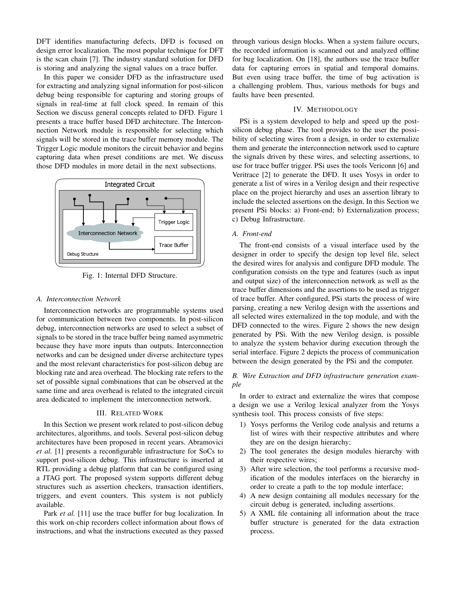DFT identifies manufacturing defects, DFD is focused on design error localization. The most popular technique for DFT is the scan chain [7]. The industry standard solution for DFD is storing and analyzing the signal values on a trace buffer.

In this paper we consider DFD as the infrastructure used for extracting and analyzing signal information for post-silicon debug being responsible for capturing and storing groups of signals in real-time at full clock speed. In remain of this Section we discuss general concepts related to DFD. Figure 1 presents a trace buffer based DFD architecture. The Interconnection Network module is responsible for selecting which signals will be stored in the trace buffer memory module. The Trigger Logic module monitors the circuit behavior and begins capturing data when preset conditions are met. We discuss those DFD modules in more detail in the next subsections.



Fig. 1: Internal DFD Structure.

## *A. Interconnection Network*

Interconnection networks are programmable systems used for communication between two components. In post-silicon debug, interconnection networks are used to select a subset of signals to be stored in the trace buffer being named asymmetric because they have more inputs than outputs. Interconnection networks and can be designed under diverse architecture types and the most relevant characteristics for post-silicon debug are blocking rate and area overhead. The blocking rate refers to the set of possible signal combinations that can be observed at the same time and area overhead is related to the integrated circuit area dedicated to implement the interconnection network.

## III. RELATED WORK

In this Section we present work related to post-silicon debug architectures, algorithms, and tools. Several post-silicon debug architectures have been proposed in recent years. Abramovici *et al.* [1] presents a reconfigurable infrastructure for SoCs to support post-silicon debug. This infrastructure is inserted at RTL providing a debug platform that can be configured using a JTAG port. The proposed system supports different debug structures such as assertion checkers, transaction identifiers, triggers, and event counters. This system is not publicly available.

Park *et al.* [11] use the trace buffer for bug localization. In this work on-chip recorders collect information about flows of instructions, and what the instructions executed as they passed through various design blocks. When a system failure occurs, the recorded information is scanned out and analyzed offline for bug localization. On [18], the authors use the trace buffer data for capturing errors in spatial and temporal domains. But even using trace buffer, the time of bug activation is a challenging problem. Thus, various methods for bugs and faults have been presented.

## IV. METHODOLOGY

PSi is a system developed to help and speed up the postsilicon debug phase. The tool provides to the user the possibility of selecting wires from a design, in order to externalize them and generate the interconnection network used to capture the signals driven by these wires, and selecting assertions, to use for trace buffer trigger. PSi uses the tools Vericonn [6] and Veritrace [2] to generate the DFD. It uses Yosys in order to generate a list of wires in a Verilog design and their respective place on the project hierarchy and uses an assertion library to include the selected assertions on the design. In this Section we present PSi blocks: a) Front-end; b) Externalization process; c) Debug Infrastructure.

# *A. Front-end*

The front-end consists of a visual interface used by the designer in order to specify the design top level file, select the desired wires for analysis and configure DFD module. The configuration consists on the type and features (such as input and output size) of the interconnection network as well as the trace buffer dimensions and the assertions to be used as trigger of trace buffer. After configured, PSi starts the process of wire parsing, creating a new Verilog design with the assertions and all selected wires externalized in the top module, and with the DFD connected to the wires. Figure 2 shows the new design generated by PSi. With the new Verilog design, is possible to analyze the system behavior during execution through the serial interface. Figure 2 depicts the process of communication between the design generated by the PSi and the computer.

# *B. Wire Extraction and DFD infrastructure generation example*

In order to extract and externalize the wires that compose a design we use a Verilog lexical analyzer from the Yosys synthesis tool. This process consists of five steps:

- 1) Yosys performs the Verilog code analysis and returns a list of wires with their respective attributes and where they are on the design hierarchy;
- 2) The tool generates the design modules hierarchy with their respective wires;
- 3) After wire selection, the tool performs a recursive modification of the modules interfaces on the hierarchy in order to create a path to the top module interface;
- 4) A new design containing all modules necessary for the circuit debug is generated, including assertions.
- 5) A XML file containing all information about the trace buffer structure is generated for the data extraction process.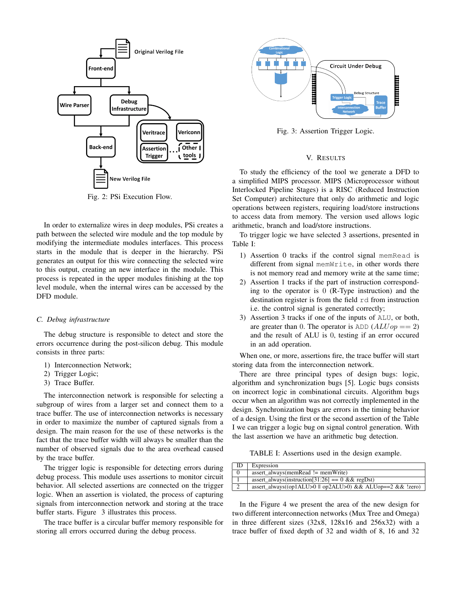

Fig. 2: PSi Execution Flow.

In order to externalize wires in deep modules, PSi creates a path between the selected wire module and the top module by modifying the intermediate modules interfaces. This process starts in the module that is deeper in the hierarchy. PSi generates an output for this wire connecting the selected wire to this output, creating an new interface in the module. This process is repeated in the upper modules finishing at the top level module, when the internal wires can be accessed by the DFD module.

## *C. Debug infrastructure*

The debug structure is responsible to detect and store the errors occurrence during the post-silicon debug. This module consists in three parts:

- 1) Interconnection Network;
- 2) Trigger Logic;
- 3) Trace Buffer.

The interconnection network is responsible for selecting a subgroup of wires from a larger set and connect them to a trace buffer. The use of interconnection networks is necessary in order to maximize the number of captured signals from a design. The main reason for the use of these networks is the fact that the trace buffer width will always be smaller than the number of observed signals due to the area overhead caused by the trace buffer.

The trigger logic is responsible for detecting errors during debug process. This module uses assertions to monitor circuit behavior. All selected assertions are connected on the trigger logic. When an assertion is violated, the process of capturing signals from interconnection network and storing at the trace buffer starts. Figure 3 illustrates this process.

The trace buffer is a circular buffer memory responsible for storing all errors occurred during the debug process.



Fig. 3: Assertion Trigger Logic.

## V. RESULTS

To study the efficiency of the tool we generate a DFD to a simplified MIPS processor. MIPS (Microprocessor without Interlocked Pipeline Stages) is a RISC (Reduced Instruction Set Computer) architecture that only do arithmetic and logic operations between registers, requiring load/store instructions to access data from memory. The version used allows logic arithmetic, branch and load/store instructions.

To trigger logic we have selected 3 assertions, presented in Table I:

- 1) Assertion 0 tracks if the control signal memRead is different from signal memWrite, in other words there is not memory read and memory write at the same time;
- 2) Assertion 1 tracks if the part of instruction corresponding to the operator is 0 (R-Type instruction) and the destination register is from the field rd from instruction i.e. the control signal is generated correctly;
- 3) Assertion 3 tracks if one of the inputs of ALU, or both, are greater than 0. The operator is  $ADD (ALUop == 2)$ and the result of ALU is 0, testing if an error occured in an add operation.

When one, or more, assertions fire, the trace buffer will start storing data from the interconnection network.

There are three principal types of design bugs: logic, algorithm and synchronization bugs [5]. Logic bugs consists on incorrect logic in combinational circuits. Algorithm bugs occur when an algorithm was not correctly implemented in the design. Synchronization bugs are errors in the timing behavior of a design. Using the first or the second assertion of the Table I we can trigger a logic bug on signal control generation. With the last assertion we have an arithmetic bug detection.

TABLE I: Assertions used in the design example.

| ID       | Expression                                                    |
|----------|---------------------------------------------------------------|
| $\theta$ | assert always(memRead $!=$ memWrite)                          |
|          | assert always(instruction[31:26] == $0 \& \& \text{regDst}$ ) |
| $\sim$   | assert always((op1ALU>0    op2ALU>0) & & ALUop==2 & & !zero)  |

In the Figure 4 we present the area of the new design for two different interconnection networks (Mux Tree and Omega) in three different sizes (32x8, 128x16 and 256x32) with a trace buffer of fixed depth of 32 and width of 8, 16 and 32